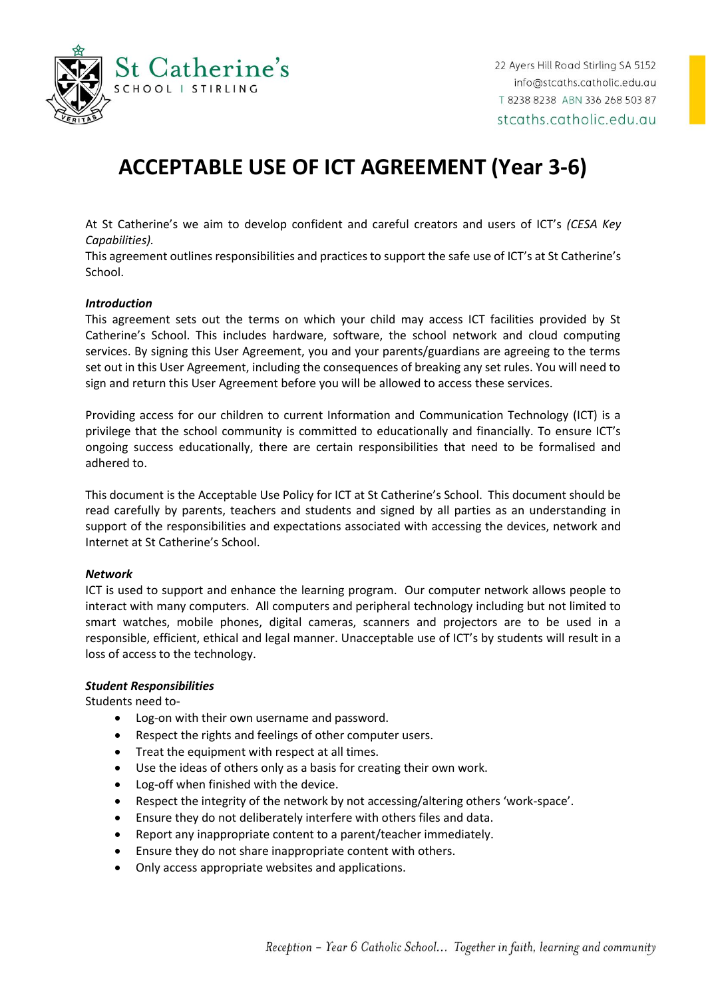

# **ACCEPTABLE USE OF ICT AGREEMENT (Year 3-6)**

At St Catherine's we aim to develop confident and careful creators and users of ICT's *(CESA Key Capabilities).*

This agreement outlines responsibilities and practices to support the safe use of ICT's at St Catherine's School.

### *Introduction*

This agreement sets out the terms on which your child may access ICT facilities provided by St Catherine's School. This includes hardware, software, the school network and cloud computing services. By signing this User Agreement, you and your parents/guardians are agreeing to the terms set out in this User Agreement, including the consequences of breaking any set rules. You will need to sign and return this User Agreement before you will be allowed to access these services.

Providing access for our children to current Information and Communication Technology (ICT) is a privilege that the school community is committed to educationally and financially. To ensure ICT's ongoing success educationally, there are certain responsibilities that need to be formalised and adhered to.

This document is the Acceptable Use Policy for ICT at St Catherine's School. This document should be read carefully by parents, teachers and students and signed by all parties as an understanding in support of the responsibilities and expectations associated with accessing the devices, network and Internet at St Catherine's School.

#### *Network*

ICT is used to support and enhance the learning program. Our computer network allows people to interact with many computers. All computers and peripheral technology including but not limited to smart watches, mobile phones, digital cameras, scanners and projectors are to be used in a responsible, efficient, ethical and legal manner. Unacceptable use of ICT's by students will result in a loss of access to the technology.

## *Student Responsibilities*

Students need to-

- Log-on with their own username and password.
- Respect the rights and feelings of other computer users.
- Treat the equipment with respect at all times.
- Use the ideas of others only as a basis for creating their own work.
- Log-off when finished with the device.
- Respect the integrity of the network by not accessing/altering others 'work-space'.
- Ensure they do not deliberately interfere with others files and data.
- Report any inappropriate content to a parent/teacher immediately.
- Ensure they do not share inappropriate content with others.
- Only access appropriate websites and applications.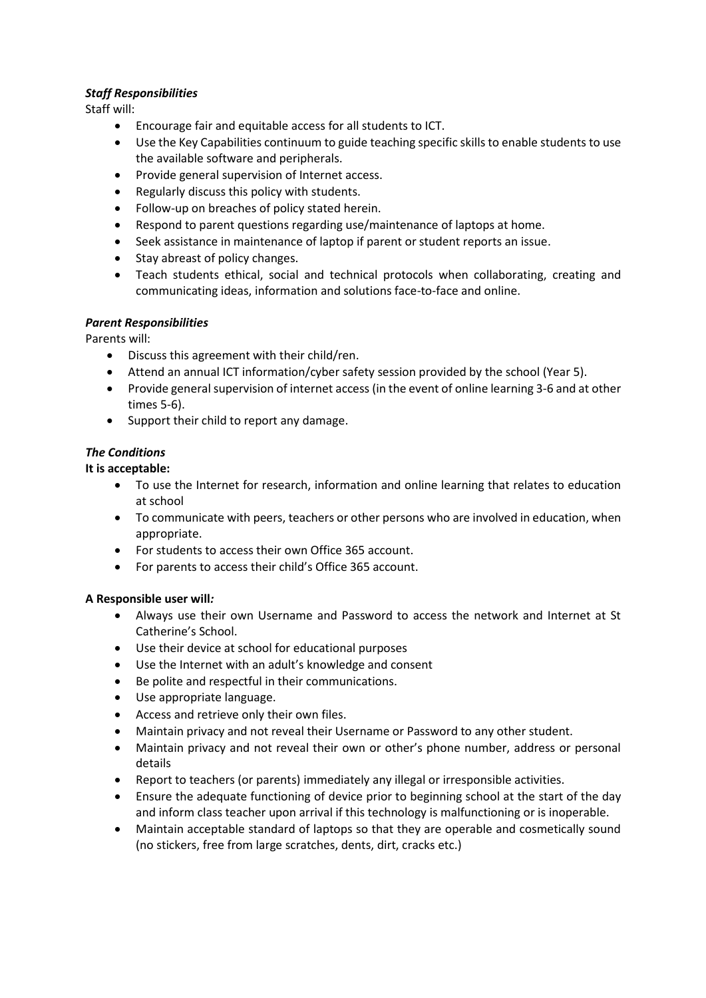## *Staff Responsibilities*

Staff will:

- Encourage fair and equitable access for all students to ICT.
- Use the Key Capabilities continuum to guide teaching specific skills to enable students to use the available software and peripherals.
- Provide general supervision of Internet access.
- Regularly discuss this policy with students.
- Follow-up on breaches of policy stated herein.
- Respond to parent questions regarding use/maintenance of laptops at home.
- Seek assistance in maintenance of laptop if parent or student reports an issue.
- Stay abreast of policy changes.
- Teach students ethical, social and technical protocols when collaborating, creating and communicating ideas, information and solutions face-to-face and online.

## *Parent Responsibilities*

Parents will:

- Discuss this agreement with their child/ren.
- Attend an annual ICT information/cyber safety session provided by the school (Year 5).
- Provide general supervision of internet access (in the event of online learning 3-6 and at other times 5-6).
- Support their child to report any damage.

## *The Conditions*

## **It is acceptable:**

- To use the Internet for research, information and online learning that relates to education at school
- To communicate with peers, teachers or other persons who are involved in education, when appropriate.
- For students to access their own Office 365 account.
- For parents to access their child's Office 365 account.

## **A Responsible user will***:*

- Always use their own Username and Password to access the network and Internet at St Catherine's School.
- Use their device at school for educational purposes
- Use the Internet with an adult's knowledge and consent
- Be polite and respectful in their communications.
- Use appropriate language.
- Access and retrieve only their own files.
- Maintain privacy and not reveal their Username or Password to any other student.
- Maintain privacy and not reveal their own or other's phone number, address or personal details
- Report to teachers (or parents) immediately any illegal or irresponsible activities.
- Ensure the adequate functioning of device prior to beginning school at the start of the day and inform class teacher upon arrival if this technology is malfunctioning or is inoperable.
- Maintain acceptable standard of laptops so that they are operable and cosmetically sound (no stickers, free from large scratches, dents, dirt, cracks etc.)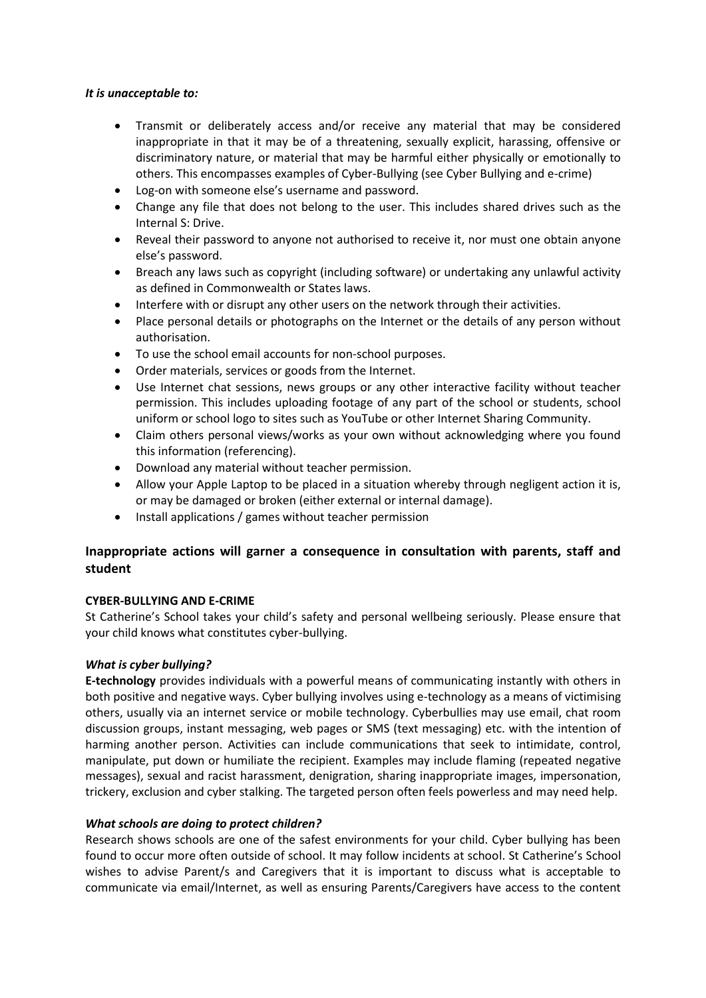## *It is unacceptable to:*

- Transmit or deliberately access and/or receive any material that may be considered inappropriate in that it may be of a threatening, sexually explicit, harassing, offensive or discriminatory nature, or material that may be harmful either physically or emotionally to others. This encompasses examples of Cyber-Bullying (see Cyber Bullying and e-crime)
- Log-on with someone else's username and password.
- Change any file that does not belong to the user. This includes shared drives such as the Internal S: Drive.
- Reveal their password to anyone not authorised to receive it, nor must one obtain anyone else's password.
- Breach any laws such as copyright (including software) or undertaking any unlawful activity as defined in Commonwealth or States laws.
- Interfere with or disrupt any other users on the network through their activities.
- Place personal details or photographs on the Internet or the details of any person without authorisation.
- To use the school email accounts for non-school purposes.
- Order materials, services or goods from the Internet.
- Use Internet chat sessions, news groups or any other interactive facility without teacher permission. This includes uploading footage of any part of the school or students, school uniform or school logo to sites such as YouTube or other Internet Sharing Community.
- Claim others personal views/works as your own without acknowledging where you found this information (referencing).
- Download any material without teacher permission.
- Allow your Apple Laptop to be placed in a situation whereby through negligent action it is, or may be damaged or broken (either external or internal damage).
- Install applications / games without teacher permission

## **Inappropriate actions will garner a consequence in consultation with parents, staff and student**

## **CYBER-BULLYING AND E-CRIME**

St Catherine's School takes your child's safety and personal wellbeing seriously. Please ensure that your child knows what constitutes cyber-bullying.

## *What is cyber bullying?*

**E-technology** provides individuals with a powerful means of communicating instantly with others in both positive and negative ways. Cyber bullying involves using e-technology as a means of victimising others, usually via an internet service or mobile technology. Cyberbullies may use email, chat room discussion groups, instant messaging, web pages or SMS (text messaging) etc. with the intention of harming another person. Activities can include communications that seek to intimidate, control, manipulate, put down or humiliate the recipient. Examples may include flaming (repeated negative messages), sexual and racist harassment, denigration, sharing inappropriate images, impersonation, trickery, exclusion and cyber stalking. The targeted person often feels powerless and may need help.

## *What schools are doing to protect children?*

Research shows schools are one of the safest environments for your child. Cyber bullying has been found to occur more often outside of school. It may follow incidents at school. St Catherine's School wishes to advise Parent/s and Caregivers that it is important to discuss what is acceptable to communicate via email/Internet, as well as ensuring Parents/Caregivers have access to the content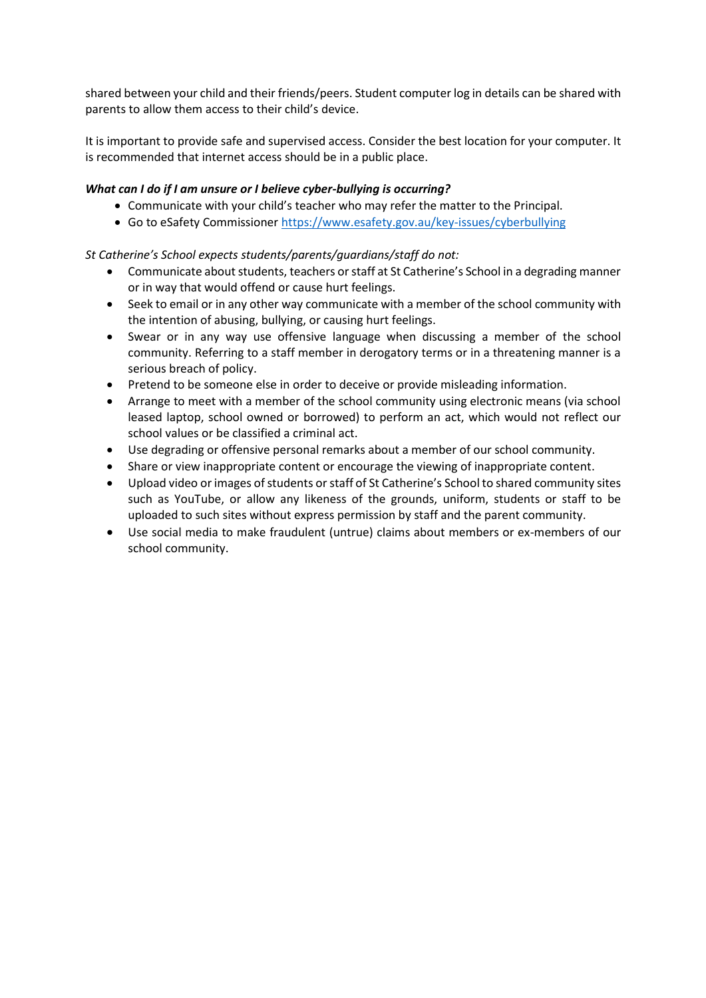shared between your child and their friends/peers. Student computer log in details can be shared with parents to allow them access to their child's device.

It is important to provide safe and supervised access. Consider the best location for your computer. It is recommended that internet access should be in a public place.

## *What can I do if I am unsure or I believe cyber-bullying is occurring?*

- Communicate with your child's teacher who may refer the matter to the Principal.
- Go to eSafety Commissioner <https://www.esafety.gov.au/key-issues/cyberbullying>

## *St Catherine's School expects students/parents/guardians/staff do not:*

- Communicate about students, teachers or staff at St Catherine's School in a degrading manner or in way that would offend or cause hurt feelings.
- Seek to email or in any other way communicate with a member of the school community with the intention of abusing, bullying, or causing hurt feelings.
- Swear or in any way use offensive language when discussing a member of the school community. Referring to a staff member in derogatory terms or in a threatening manner is a serious breach of policy.
- Pretend to be someone else in order to deceive or provide misleading information.
- Arrange to meet with a member of the school community using electronic means (via school leased laptop, school owned or borrowed) to perform an act, which would not reflect our school values or be classified a criminal act.
- Use degrading or offensive personal remarks about a member of our school community.
- Share or view inappropriate content or encourage the viewing of inappropriate content.
- Upload video or images of students or staff of St Catherine's School to shared community sites such as YouTube, or allow any likeness of the grounds, uniform, students or staff to be uploaded to such sites without express permission by staff and the parent community.
- Use social media to make fraudulent (untrue) claims about members or ex-members of our school community.